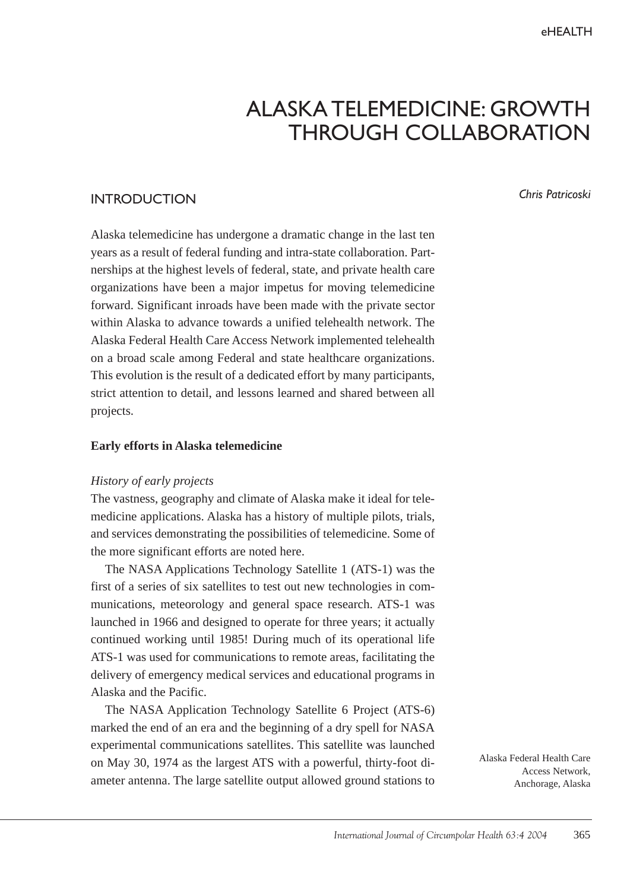# ALASKA TELEMEDICINE: GROWTH THROUGH COLLABORATION

# INTRODUCTION

Alaska telemedicine has undergone a dramatic change in the last ten years as a result of federal funding and intra-state collaboration. Partnerships at the highest levels of federal, state, and private health care organizations have been a major impetus for moving telemedicine forward. Significant inroads have been made with the private sector within Alaska to advance towards a unified telehealth network. The Alaska Federal Health Care Access Network implemented telehealth on a broad scale among Federal and state healthcare organizations. This evolution is the result of a dedicated effort by many participants, strict attention to detail, and lessons learned and shared between all projects.

### **Early efforts in Alaska telemedicine**

#### *History of early projects*

The vastness, geography and climate of Alaska make it ideal for telemedicine applications. Alaska has a history of multiple pilots, trials, and services demonstrating the possibilities of telemedicine. Some of the more significant efforts are noted here.

The NASA Applications Technology Satellite 1 (ATS-1) was the first of a series of six satellites to test out new technologies in communications, meteorology and general space research. ATS-1 was launched in 1966 and designed to operate for three years; it actually continued working until 1985! During much of its operational life ATS-1 was used for communications to remote areas, facilitating the delivery of emergency medical services and educational programs in Alaska and the Pacific.

The NASA Application Technology Satellite 6 Project (ATS-6) marked the end of an era and the beginning of a dry spell for NASA experimental communications satellites. This satellite was launched on May 30, 1974 as the largest ATS with a powerful, thirty-foot diameter antenna. The large satellite output allowed ground stations to

Alaska Federal Health Care Access Network, Anchorage, Alaska

*Chris Patricoski*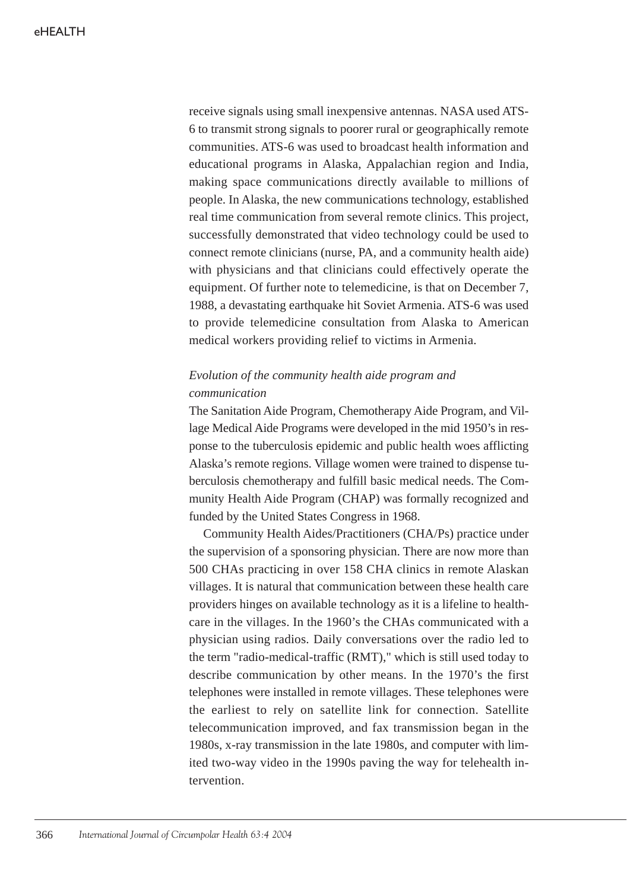receive signals using small inexpensive antennas. NASA used ATS-6 to transmit strong signals to poorer rural or geographically remote communities. ATS-6 was used to broadcast health information and educational programs in Alaska, Appalachian region and India, making space communications directly available to millions of people. In Alaska, the new communications technology, established real time communication from several remote clinics. This project, successfully demonstrated that video technology could be used to connect remote clinicians (nurse, PA, and a community health aide) with physicians and that clinicians could effectively operate the equipment. Of further note to telemedicine, is that on December 7, 1988, a devastating earthquake hit Soviet Armenia. ATS-6 was used to provide telemedicine consultation from Alaska to American medical workers providing relief to victims in Armenia.

# *Evolution of the community health aide program and communication*

The Sanitation Aide Program, Chemotherapy Aide Program, and Village Medical Aide Programs were developed in the mid 1950's in response to the tuberculosis epidemic and public health woes afflicting Alaska's remote regions. Village women were trained to dispense tuberculosis chemotherapy and fulfill basic medical needs. The Community Health Aide Program (CHAP) was formally recognized and funded by the United States Congress in 1968.

Community Health Aides/Practitioners (CHA/Ps) practice under the supervision of a sponsoring physician. There are now more than 500 CHAs practicing in over 158 CHA clinics in remote Alaskan villages. It is natural that communication between these health care providers hinges on available technology as it is a lifeline to healthcare in the villages. In the 1960's the CHAs communicated with a physician using radios. Daily conversations over the radio led to the term "radio-medical-traffic (RMT)," which is still used today to describe communication by other means. In the 1970's the first telephones were installed in remote villages. These telephones were the earliest to rely on satellite link for connection. Satellite telecommunication improved, and fax transmission began in the 1980s, x-ray transmission in the late 1980s, and computer with limited two-way video in the 1990s paving the way for telehealth intervention.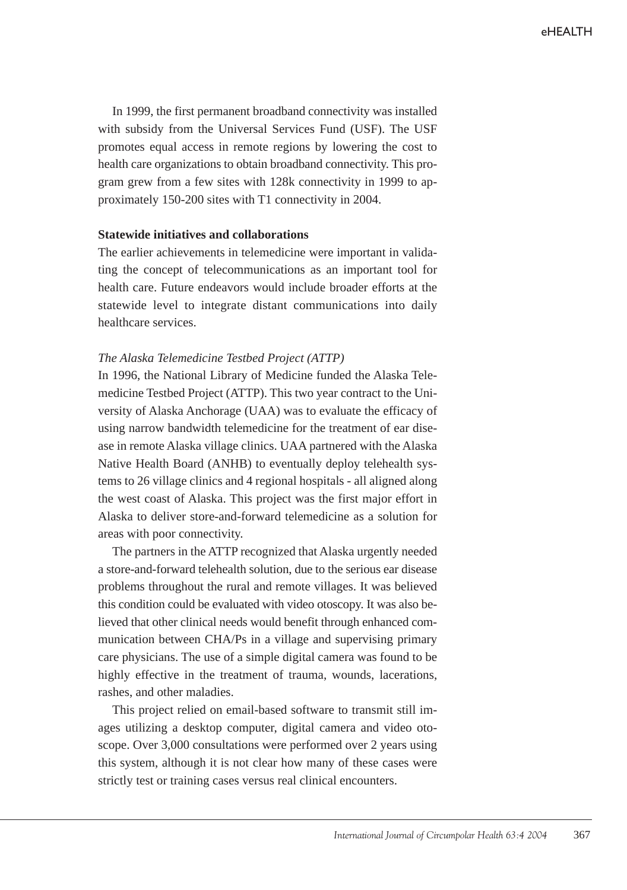In 1999, the first permanent broadband connectivity was installed with subsidy from the Universal Services Fund (USF). The USF promotes equal access in remote regions by lowering the cost to health care organizations to obtain broadband connectivity. This program grew from a few sites with 128k connectivity in 1999 to approximately 150-200 sites with T1 connectivity in 2004.

### **Statewide initiatives and collaborations**

The earlier achievements in telemedicine were important in validating the concept of telecommunications as an important tool for health care. Future endeavors would include broader efforts at the statewide level to integrate distant communications into daily healthcare services.

# *The Alaska Telemedicine Testbed Project (ATTP)*

In 1996, the National Library of Medicine funded the Alaska Telemedicine Testbed Project (ATTP). This two year contract to the University of Alaska Anchorage (UAA) was to evaluate the efficacy of using narrow bandwidth telemedicine for the treatment of ear disease in remote Alaska village clinics. UAA partnered with the Alaska Native Health Board (ANHB) to eventually deploy telehealth systems to 26 village clinics and 4 regional hospitals - all aligned along the west coast of Alaska. This project was the first major effort in Alaska to deliver store-and-forward telemedicine as a solution for areas with poor connectivity.

The partners in the ATTP recognized that Alaska urgently needed a store-and-forward telehealth solution, due to the serious ear disease problems throughout the rural and remote villages. It was believed this condition could be evaluated with video otoscopy. It was also believed that other clinical needs would benefit through enhanced communication between CHA/Ps in a village and supervising primary care physicians. The use of a simple digital camera was found to be highly effective in the treatment of trauma, wounds, lacerations, rashes, and other maladies.

This project relied on email-based software to transmit still images utilizing a desktop computer, digital camera and video otoscope. Over 3,000 consultations were performed over 2 years using this system, although it is not clear how many of these cases were strictly test or training cases versus real clinical encounters.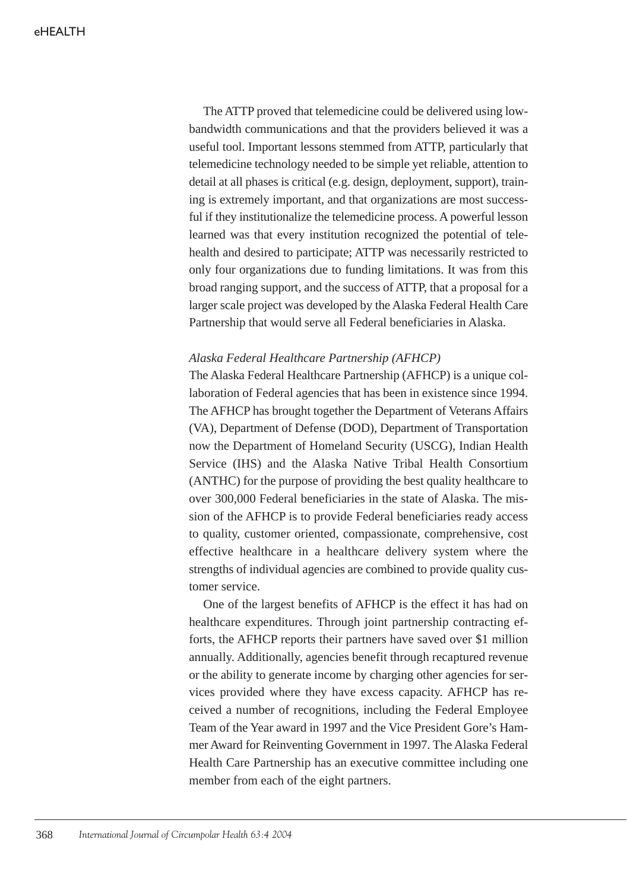The ATTP proved that telemedicine could be delivered using lowbandwidth communications and that the providers believed it was a useful tool. Important lessons stemmed from ATTP, particularly that telemedicine technology needed to be simple yet reliable, attention to detail at all phases is critical (e.g. design, deployment, support), training is extremely important, and that organizations are most successful if they institutionalize the telemedicine process. A powerful lesson learned was that every institution recognized the potential of telehealth and desired to participate; ATTP was necessarily restricted to only four organizations due to funding limitations. It was from this broad ranging support, and the success of ATTP, that a proposal for a larger scale project was developed by the Alaska Federal Health Care Partnership that would serve all Federal beneficiaries in Alaska.

# *Alaska Federal Healthcare Partnership (AFHCP)*

The Alaska Federal Healthcare Partnership (AFHCP) is a unique collaboration of Federal agencies that has been in existence since 1994. The AFHCP has brought together the Department of Veterans Affairs (VA), Department of Defense (DOD), Department of Transportation now the Department of Homeland Security (USCG), Indian Health Service (IHS) and the Alaska Native Tribal Health Consortium (ANTHC) for the purpose of providing the best quality healthcare to over 300,000 Federal beneficiaries in the state of Alaska. The mission of the AFHCP is to provide Federal beneficiaries ready access to quality, customer oriented, compassionate, comprehensive, cost effective healthcare in a healthcare delivery system where the strengths of individual agencies are combined to provide quality customer service.

One of the largest benefits of AFHCP is the effect it has had on healthcare expenditures. Through joint partnership contracting efforts, the AFHCP reports their partners have saved over \$1 million annually. Additionally, agencies benefit through recaptured revenue or the ability to generate income by charging other agencies for services provided where they have excess capacity. AFHCP has received a number of recognitions, including the Federal Employee Team of the Year award in 1997 and the Vice President Gore's Hammer Award for Reinventing Government in 1997. The Alaska Federal Health Care Partnership has an executive committee including one member from each of the eight partners.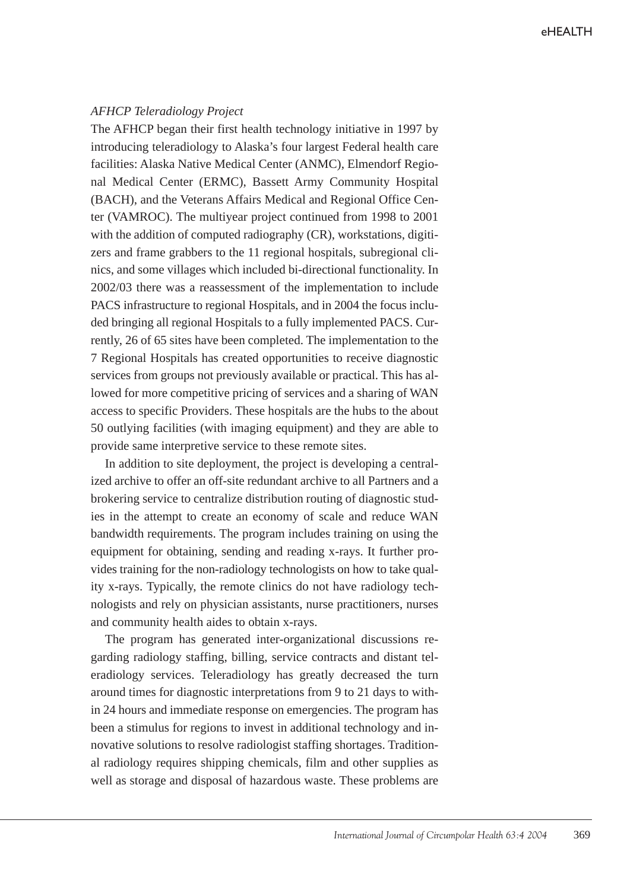### *AFHCP Teleradiology Project*

The AFHCP began their first health technology initiative in 1997 by introducing teleradiology to Alaska's four largest Federal health care facilities: Alaska Native Medical Center (ANMC), Elmendorf Regional Medical Center (ERMC), Bassett Army Community Hospital (BACH), and the Veterans Affairs Medical and Regional Office Center (VAMROC). The multiyear project continued from 1998 to 2001 with the addition of computed radiography (CR), workstations, digitizers and frame grabbers to the 11 regional hospitals, subregional clinics, and some villages which included bi-directional functionality. In 2002/03 there was a reassessment of the implementation to include PACS infrastructure to regional Hospitals, and in 2004 the focus included bringing all regional Hospitals to a fully implemented PACS. Currently, 26 of 65 sites have been completed. The implementation to the 7 Regional Hospitals has created opportunities to receive diagnostic services from groups not previously available or practical. This has allowed for more competitive pricing of services and a sharing of WAN access to specific Providers. These hospitals are the hubs to the about 50 outlying facilities (with imaging equipment) and they are able to provide same interpretive service to these remote sites.

In addition to site deployment, the project is developing a centralized archive to offer an off-site redundant archive to all Partners and a brokering service to centralize distribution routing of diagnostic studies in the attempt to create an economy of scale and reduce WAN bandwidth requirements. The program includes training on using the equipment for obtaining, sending and reading x-rays. It further provides training for the non-radiology technologists on how to take quality x-rays. Typically, the remote clinics do not have radiology technologists and rely on physician assistants, nurse practitioners, nurses and community health aides to obtain x-rays.

The program has generated inter-organizational discussions regarding radiology staffing, billing, service contracts and distant teleradiology services. Teleradiology has greatly decreased the turn around times for diagnostic interpretations from 9 to 21 days to within 24 hours and immediate response on emergencies. The program has been a stimulus for regions to invest in additional technology and innovative solutions to resolve radiologist staffing shortages. Traditional radiology requires shipping chemicals, film and other supplies as well as storage and disposal of hazardous waste. These problems are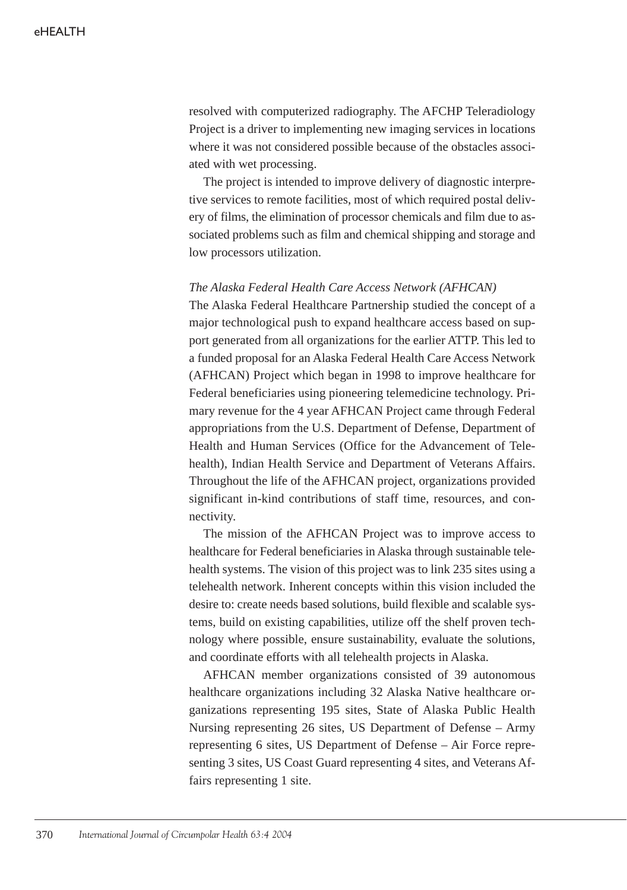resolved with computerized radiography. The AFCHP Teleradiology Project is a driver to implementing new imaging services in locations where it was not considered possible because of the obstacles associated with wet processing.

The project is intended to improve delivery of diagnostic interpretive services to remote facilities, most of which required postal delivery of films, the elimination of processor chemicals and film due to associated problems such as film and chemical shipping and storage and low processors utilization.

#### *The Alaska Federal Health Care Access Network (AFHCAN)*

The Alaska Federal Healthcare Partnership studied the concept of a major technological push to expand healthcare access based on support generated from all organizations for the earlier ATTP. This led to a funded proposal for an Alaska Federal Health Care Access Network (AFHCAN) Project which began in 1998 to improve healthcare for Federal beneficiaries using pioneering telemedicine technology. Primary revenue for the 4 year AFHCAN Project came through Federal appropriations from the U.S. Department of Defense, Department of Health and Human Services (Office for the Advancement of Telehealth), Indian Health Service and Department of Veterans Affairs. Throughout the life of the AFHCAN project, organizations provided significant in-kind contributions of staff time, resources, and connectivity.

The mission of the AFHCAN Project was to improve access to healthcare for Federal beneficiaries in Alaska through sustainable telehealth systems. The vision of this project was to link 235 sites using a telehealth network. Inherent concepts within this vision included the desire to: create needs based solutions, build flexible and scalable systems, build on existing capabilities, utilize off the shelf proven technology where possible, ensure sustainability, evaluate the solutions, and coordinate efforts with all telehealth projects in Alaska.

AFHCAN member organizations consisted of 39 autonomous healthcare organizations including 32 Alaska Native healthcare organizations representing 195 sites, State of Alaska Public Health Nursing representing 26 sites, US Department of Defense – Army representing 6 sites, US Department of Defense – Air Force representing 3 sites, US Coast Guard representing 4 sites, and Veterans Affairs representing 1 site.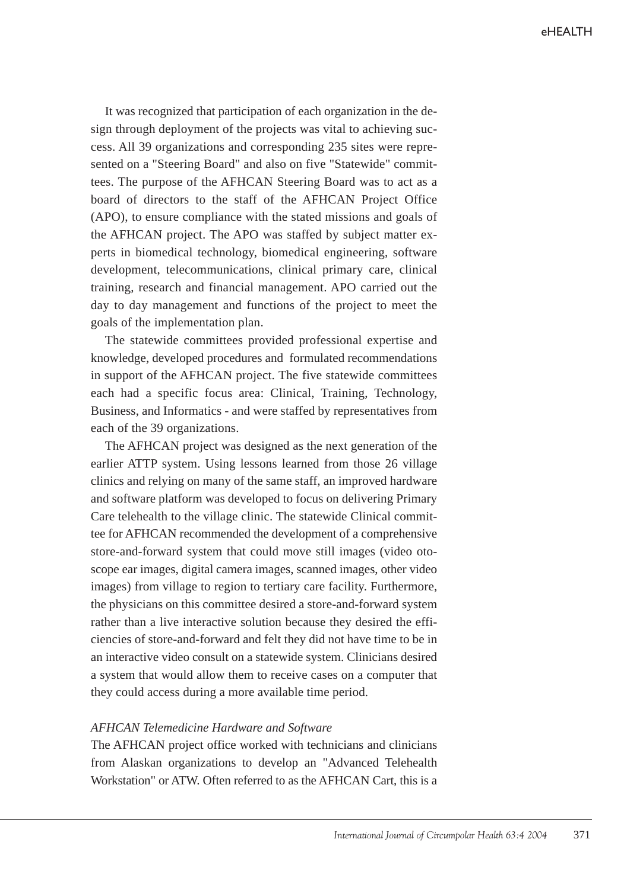It was recognized that participation of each organization in the design through deployment of the projects was vital to achieving success. All 39 organizations and corresponding 235 sites were represented on a "Steering Board" and also on five "Statewide" committees. The purpose of the AFHCAN Steering Board was to act as a board of directors to the staff of the AFHCAN Project Office (APO), to ensure compliance with the stated missions and goals of the AFHCAN project. The APO was staffed by subject matter experts in biomedical technology, biomedical engineering, software development, telecommunications, clinical primary care, clinical training, research and financial management. APO carried out the day to day management and functions of the project to meet the goals of the implementation plan.

The statewide committees provided professional expertise and knowledge, developed procedures and formulated recommendations in support of the AFHCAN project. The five statewide committees each had a specific focus area: Clinical, Training, Technology, Business, and Informatics - and were staffed by representatives from each of the 39 organizations.

The AFHCAN project was designed as the next generation of the earlier ATTP system. Using lessons learned from those 26 village clinics and relying on many of the same staff, an improved hardware and software platform was developed to focus on delivering Primary Care telehealth to the village clinic. The statewide Clinical committee for AFHCAN recommended the development of a comprehensive store-and-forward system that could move still images (video otoscope ear images, digital camera images, scanned images, other video images) from village to region to tertiary care facility. Furthermore, the physicians on this committee desired a store-and-forward system rather than a live interactive solution because they desired the efficiencies of store-and-forward and felt they did not have time to be in an interactive video consult on a statewide system. Clinicians desired a system that would allow them to receive cases on a computer that they could access during a more available time period.

# *AFHCAN Telemedicine Hardware and Software*

The AFHCAN project office worked with technicians and clinicians from Alaskan organizations to develop an "Advanced Telehealth Workstation" or ATW. Often referred to as the AFHCAN Cart, this is a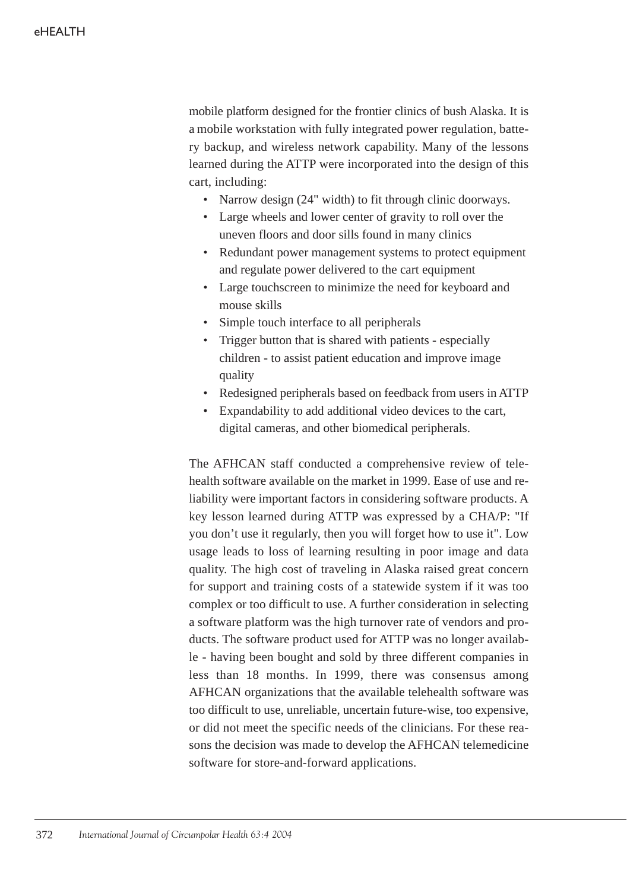mobile platform designed for the frontier clinics of bush Alaska. It is a mobile workstation with fully integrated power regulation, battery backup, and wireless network capability. Many of the lessons learned during the ATTP were incorporated into the design of this cart, including:

- Narrow design (24" width) to fit through clinic doorways.
- Large wheels and lower center of gravity to roll over the uneven floors and door sills found in many clinics
- Redundant power management systems to protect equipment and regulate power delivered to the cart equipment
- Large touchscreen to minimize the need for keyboard and mouse skills
- Simple touch interface to all peripherals
- Trigger button that is shared with patients especially children - to assist patient education and improve image quality
- Redesigned peripherals based on feedback from users in ATTP
- Expandability to add additional video devices to the cart, digital cameras, and other biomedical peripherals.

The AFHCAN staff conducted a comprehensive review of telehealth software available on the market in 1999. Ease of use and reliability were important factors in considering software products. A key lesson learned during ATTP was expressed by a CHA/P: "If you don't use it regularly, then you will forget how to use it". Low usage leads to loss of learning resulting in poor image and data quality. The high cost of traveling in Alaska raised great concern for support and training costs of a statewide system if it was too complex or too difficult to use. A further consideration in selecting a software platform was the high turnover rate of vendors and products. The software product used for ATTP was no longer available - having been bought and sold by three different companies in less than 18 months. In 1999, there was consensus among AFHCAN organizations that the available telehealth software was too difficult to use, unreliable, uncertain future-wise, too expensive, or did not meet the specific needs of the clinicians. For these reasons the decision was made to develop the AFHCAN telemedicine software for store-and-forward applications.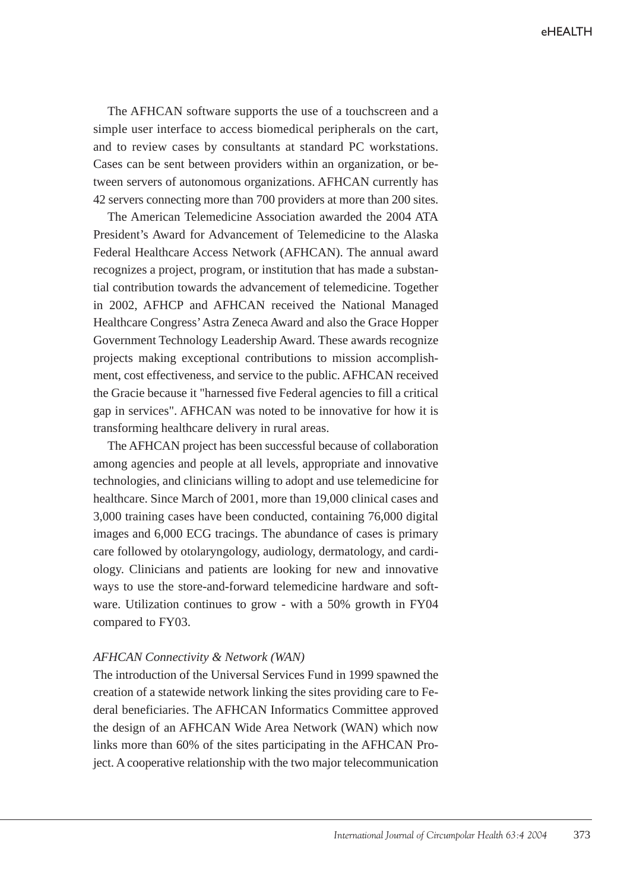The AFHCAN software supports the use of a touchscreen and a simple user interface to access biomedical peripherals on the cart, and to review cases by consultants at standard PC workstations. Cases can be sent between providers within an organization, or between servers of autonomous organizations. AFHCAN currently has 42 servers connecting more than 700 providers at more than 200 sites.

The American Telemedicine Association awarded the 2004 ATA President's Award for Advancement of Telemedicine to the Alaska Federal Healthcare Access Network (AFHCAN). The annual award recognizes a project, program, or institution that has made a substantial contribution towards the advancement of telemedicine. Together in 2002, AFHCP and AFHCAN received the National Managed Healthcare Congress'Astra Zeneca Award and also the Grace Hopper Government Technology Leadership Award. These awards recognize projects making exceptional contributions to mission accomplishment, cost effectiveness, and service to the public. AFHCAN received the Gracie because it "harnessed five Federal agencies to fill a critical gap in services". AFHCAN was noted to be innovative for how it is transforming healthcare delivery in rural areas.

The AFHCAN project has been successful because of collaboration among agencies and people at all levels, appropriate and innovative technologies, and clinicians willing to adopt and use telemedicine for healthcare. Since March of 2001, more than 19,000 clinical cases and 3,000 training cases have been conducted, containing 76,000 digital images and 6,000 ECG tracings. The abundance of cases is primary care followed by otolaryngology, audiology, dermatology, and cardiology. Clinicians and patients are looking for new and innovative ways to use the store-and-forward telemedicine hardware and software. Utilization continues to grow - with a 50% growth in FY04 compared to FY03.

# *AFHCAN Connectivity & Network (WAN)*

The introduction of the Universal Services Fund in 1999 spawned the creation of a statewide network linking the sites providing care to Federal beneficiaries. The AFHCAN Informatics Committee approved the design of an AFHCAN Wide Area Network (WAN) which now links more than 60% of the sites participating in the AFHCAN Project. A cooperative relationship with the two major telecommunication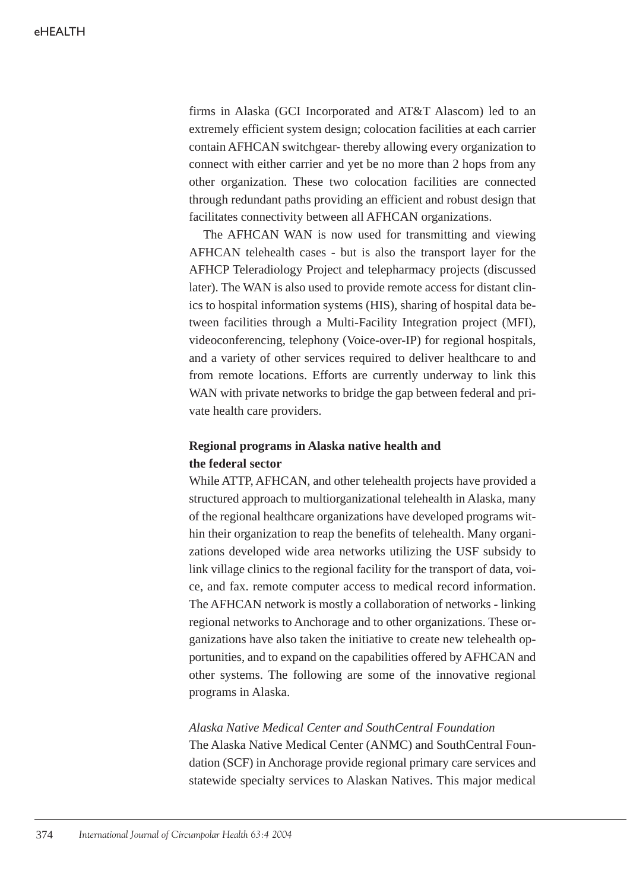firms in Alaska (GCI Incorporated and AT&T Alascom) led to an extremely efficient system design; colocation facilities at each carrier contain AFHCAN switchgear- thereby allowing every organization to connect with either carrier and yet be no more than 2 hops from any other organization. These two colocation facilities are connected through redundant paths providing an efficient and robust design that facilitates connectivity between all AFHCAN organizations.

The AFHCAN WAN is now used for transmitting and viewing AFHCAN telehealth cases - but is also the transport layer for the AFHCP Teleradiology Project and telepharmacy projects (discussed later). The WAN is also used to provide remote access for distant clinics to hospital information systems (HIS), sharing of hospital data between facilities through a Multi-Facility Integration project (MFI), videoconferencing, telephony (Voice-over-IP) for regional hospitals, and a variety of other services required to deliver healthcare to and from remote locations. Efforts are currently underway to link this WAN with private networks to bridge the gap between federal and private health care providers.

# **Regional programs in Alaska native health and the federal sector**

While ATTP, AFHCAN, and other telehealth projects have provided a structured approach to multiorganizational telehealth in Alaska, many of the regional healthcare organizations have developed programs within their organization to reap the benefits of telehealth. Many organizations developed wide area networks utilizing the USF subsidy to link village clinics to the regional facility for the transport of data, voice, and fax. remote computer access to medical record information. The AFHCAN network is mostly a collaboration of networks - linking regional networks to Anchorage and to other organizations. These organizations have also taken the initiative to create new telehealth opportunities, and to expand on the capabilities offered by AFHCAN and other systems. The following are some of the innovative regional programs in Alaska.

# *Alaska Native Medical Center and SouthCentral Foundation*

The Alaska Native Medical Center (ANMC) and SouthCentral Foundation (SCF) in Anchorage provide regional primary care services and statewide specialty services to Alaskan Natives. This major medical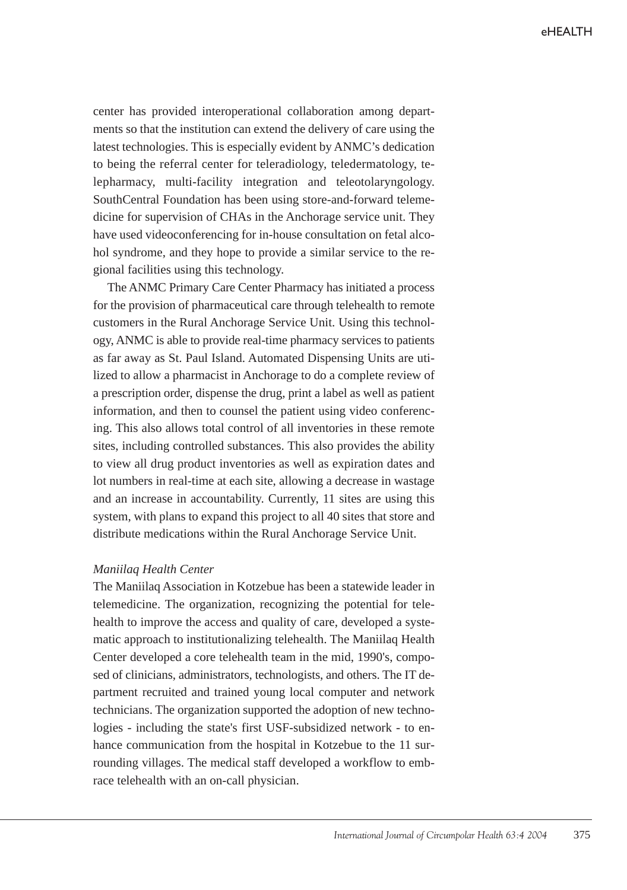center has provided interoperational collaboration among departments so that the institution can extend the delivery of care using the latest technologies. This is especially evident by ANMC's dedication to being the referral center for teleradiology, teledermatology, telepharmacy, multi-facility integration and teleotolaryngology. SouthCentral Foundation has been using store-and-forward telemedicine for supervision of CHAs in the Anchorage service unit. They have used videoconferencing for in-house consultation on fetal alcohol syndrome, and they hope to provide a similar service to the regional facilities using this technology.

The ANMC Primary Care Center Pharmacy has initiated a process for the provision of pharmaceutical care through telehealth to remote customers in the Rural Anchorage Service Unit. Using this technology, ANMC is able to provide real-time pharmacy services to patients as far away as St. Paul Island. Automated Dispensing Units are utilized to allow a pharmacist in Anchorage to do a complete review of a prescription order, dispense the drug, print a label as well as patient information, and then to counsel the patient using video conferencing. This also allows total control of all inventories in these remote sites, including controlled substances. This also provides the ability to view all drug product inventories as well as expiration dates and lot numbers in real-time at each site, allowing a decrease in wastage and an increase in accountability. Currently, 11 sites are using this system, with plans to expand this project to all 40 sites that store and distribute medications within the Rural Anchorage Service Unit.

# *Maniilaq Health Center*

The Maniilaq Association in Kotzebue has been a statewide leader in telemedicine. The organization, recognizing the potential for telehealth to improve the access and quality of care, developed a systematic approach to institutionalizing telehealth. The Maniilaq Health Center developed a core telehealth team in the mid, 1990's, composed of clinicians, administrators, technologists, and others. The IT department recruited and trained young local computer and network technicians. The organization supported the adoption of new technologies - including the state's first USF-subsidized network - to enhance communication from the hospital in Kotzebue to the 11 surrounding villages. The medical staff developed a workflow to embrace telehealth with an on-call physician.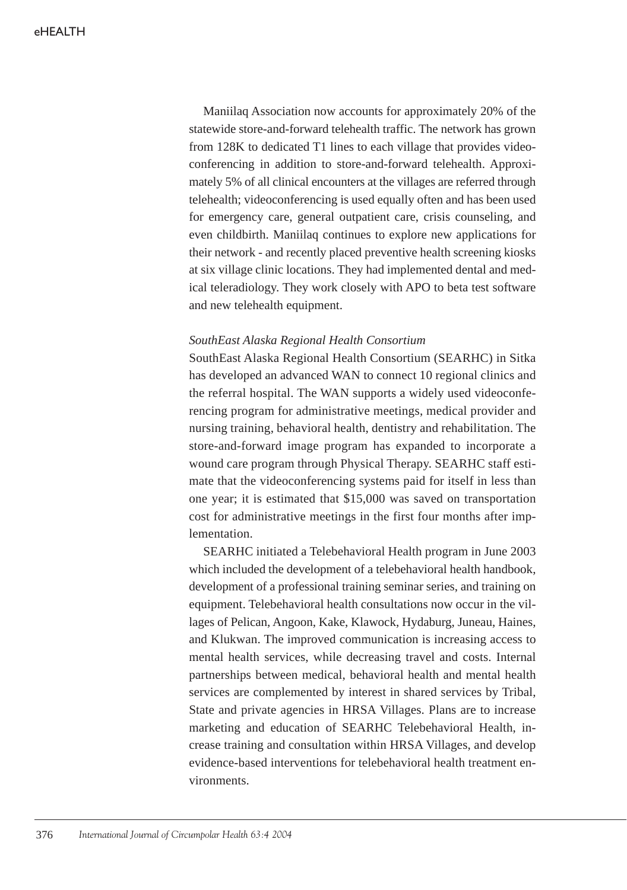Maniilaq Association now accounts for approximately 20% of the statewide store-and-forward telehealth traffic. The network has grown from 128K to dedicated T1 lines to each village that provides videoconferencing in addition to store-and-forward telehealth. Approximately 5% of all clinical encounters at the villages are referred through telehealth; videoconferencing is used equally often and has been used for emergency care, general outpatient care, crisis counseling, and even childbirth. Maniilaq continues to explore new applications for their network - and recently placed preventive health screening kiosks at six village clinic locations. They had implemented dental and medical teleradiology. They work closely with APO to beta test software and new telehealth equipment.

### *SouthEast Alaska Regional Health Consortium*

SouthEast Alaska Regional Health Consortium (SEARHC) in Sitka has developed an advanced WAN to connect 10 regional clinics and the referral hospital. The WAN supports a widely used videoconferencing program for administrative meetings, medical provider and nursing training, behavioral health, dentistry and rehabilitation. The store-and-forward image program has expanded to incorporate a wound care program through Physical Therapy. SEARHC staff estimate that the videoconferencing systems paid for itself in less than one year; it is estimated that \$15,000 was saved on transportation cost for administrative meetings in the first four months after implementation.

SEARHC initiated a Telebehavioral Health program in June 2003 which included the development of a telebehavioral health handbook, development of a professional training seminar series, and training on equipment. Telebehavioral health consultations now occur in the villages of Pelican, Angoon, Kake, Klawock, Hydaburg, Juneau, Haines, and Klukwan. The improved communication is increasing access to mental health services, while decreasing travel and costs. Internal partnerships between medical, behavioral health and mental health services are complemented by interest in shared services by Tribal, State and private agencies in HRSA Villages. Plans are to increase marketing and education of SEARHC Telebehavioral Health, increase training and consultation within HRSA Villages, and develop evidence-based interventions for telebehavioral health treatment environments.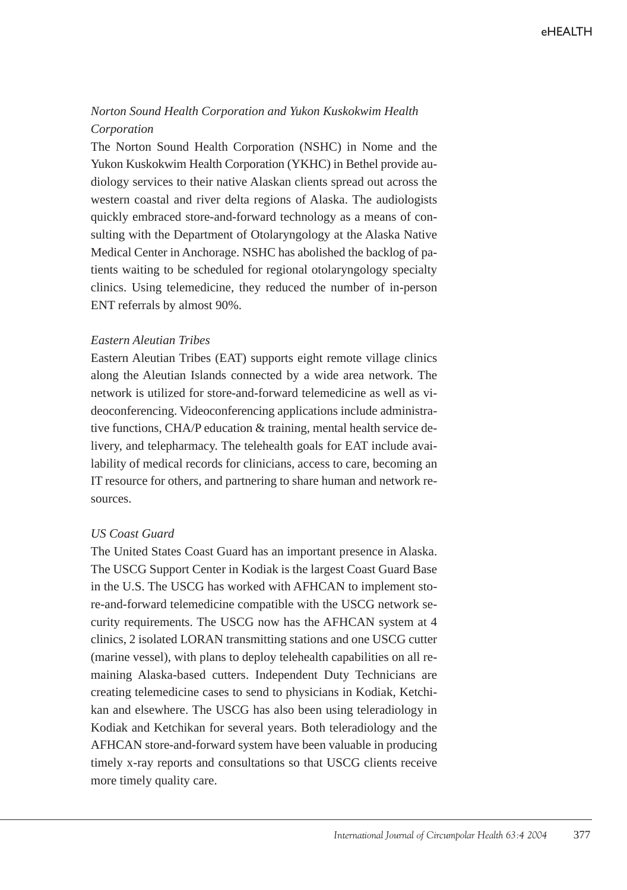# *Norton Sound Health Corporation and Yukon Kuskokwim Health Corporation*

The Norton Sound Health Corporation (NSHC) in Nome and the Yukon Kuskokwim Health Corporation (YKHC) in Bethel provide audiology services to their native Alaskan clients spread out across the western coastal and river delta regions of Alaska. The audiologists quickly embraced store-and-forward technology as a means of consulting with the Department of Otolaryngology at the Alaska Native Medical Center in Anchorage. NSHC has abolished the backlog of patients waiting to be scheduled for regional otolaryngology specialty clinics. Using telemedicine, they reduced the number of in-person ENT referrals by almost 90%.

# *Eastern Aleutian Tribes*

Eastern Aleutian Tribes (EAT) supports eight remote village clinics along the Aleutian Islands connected by a wide area network. The network is utilized for store-and-forward telemedicine as well as videoconferencing. Videoconferencing applications include administrative functions, CHA/P education & training, mental health service delivery, and telepharmacy. The telehealth goals for EAT include availability of medical records for clinicians, access to care, becoming an IT resource for others, and partnering to share human and network resources.

# *US Coast Guard*

The United States Coast Guard has an important presence in Alaska. The USCG Support Center in Kodiak is the largest Coast Guard Base in the U.S. The USCG has worked with AFHCAN to implement store-and-forward telemedicine compatible with the USCG network security requirements. The USCG now has the AFHCAN system at 4 clinics, 2 isolated LORAN transmitting stations and one USCG cutter (marine vessel), with plans to deploy telehealth capabilities on all remaining Alaska-based cutters. Independent Duty Technicians are creating telemedicine cases to send to physicians in Kodiak, Ketchikan and elsewhere. The USCG has also been using teleradiology in Kodiak and Ketchikan for several years. Both teleradiology and the AFHCAN store-and-forward system have been valuable in producing timely x-ray reports and consultations so that USCG clients receive more timely quality care.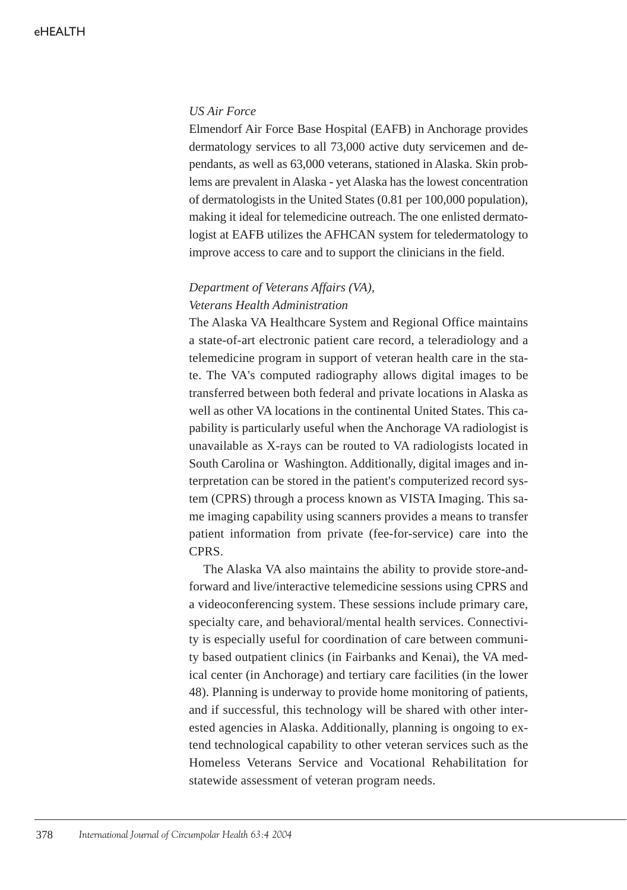# *US Air Force*

Elmendorf Air Force Base Hospital (EAFB) in Anchorage provides dermatology services to all 73,000 active duty servicemen and dependants, as well as 63,000 veterans, stationed in Alaska. Skin problems are prevalent in Alaska - yet Alaska has the lowest concentration of dermatologists in the United States (0.81 per 100,000 population), making it ideal for telemedicine outreach. The one enlisted dermatologist at EAFB utilizes the AFHCAN system for teledermatology to improve access to care and to support the clinicians in the field.

# *Department of Veterans Affairs (VA), Veterans Health Administration*

The Alaska VA Healthcare System and Regional Office maintains a state-of-art electronic patient care record, a teleradiology and a telemedicine program in support of veteran health care in the state. The VA's computed radiography allows digital images to be transferred between both federal and private locations in Alaska as well as other VA locations in the continental United States. This capability is particularly useful when the Anchorage VA radiologist is unavailable as X-rays can be routed to VA radiologists located in South Carolina or Washington. Additionally, digital images and interpretation can be stored in the patient's computerized record system (CPRS) through a process known as VISTA Imaging. This same imaging capability using scanners provides a means to transfer patient information from private (fee-for-service) care into the CPRS.

The Alaska VA also maintains the ability to provide store-andforward and live/interactive telemedicine sessions using CPRS and a videoconferencing system. These sessions include primary care, specialty care, and behavioral/mental health services. Connectivity is especially useful for coordination of care between community based outpatient clinics (in Fairbanks and Kenai), the VA medical center (in Anchorage) and tertiary care facilities (in the lower 48). Planning is underway to provide home monitoring of patients, and if successful, this technology will be shared with other interested agencies in Alaska. Additionally, planning is ongoing to extend technological capability to other veteran services such as the Homeless Veterans Service and Vocational Rehabilitation for statewide assessment of veteran program needs.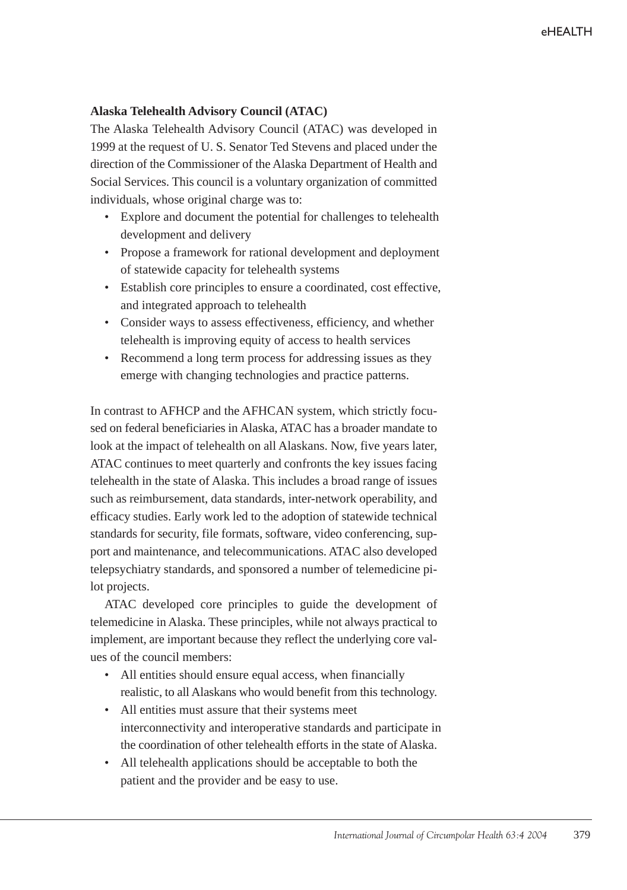# **Alaska Telehealth Advisory Council (ATAC)**

The Alaska Telehealth Advisory Council (ATAC) was developed in 1999 at the request of U. S. Senator Ted Stevens and placed under the direction of the Commissioner of the Alaska Department of Health and Social Services. This council is a voluntary organization of committed individuals, whose original charge was to:

- Explore and document the potential for challenges to telehealth development and delivery
- Propose a framework for rational development and deployment of statewide capacity for telehealth systems
- Establish core principles to ensure a coordinated, cost effective, and integrated approach to telehealth
- Consider ways to assess effectiveness, efficiency, and whether telehealth is improving equity of access to health services
- Recommend a long term process for addressing issues as they emerge with changing technologies and practice patterns.

In contrast to AFHCP and the AFHCAN system, which strictly focused on federal beneficiaries in Alaska, ATAC has a broader mandate to look at the impact of telehealth on all Alaskans. Now, five years later, ATAC continues to meet quarterly and confronts the key issues facing telehealth in the state of Alaska. This includes a broad range of issues such as reimbursement, data standards, inter-network operability, and efficacy studies. Early work led to the adoption of statewide technical standards for security, file formats, software, video conferencing, support and maintenance, and telecommunications. ATAC also developed telepsychiatry standards, and sponsored a number of telemedicine pilot projects.

ATAC developed core principles to guide the development of telemedicine in Alaska. These principles, while not always practical to implement, are important because they reflect the underlying core values of the council members:

- All entities should ensure equal access, when financially realistic, to all Alaskans who would benefit from this technology.
- All entities must assure that their systems meet interconnectivity and interoperative standards and participate in the coordination of other telehealth efforts in the state of Alaska.
- All telehealth applications should be acceptable to both the patient and the provider and be easy to use.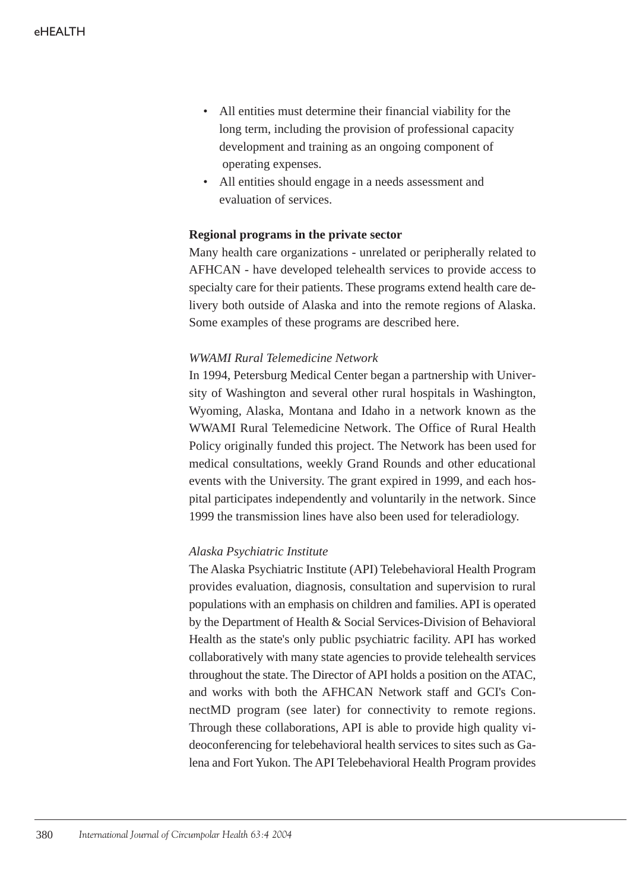- All entities must determine their financial viability for the long term, including the provision of professional capacity development and training as an ongoing component of operating expenses.
- All entities should engage in a needs assessment and evaluation of services.

# **Regional programs in the private sector**

Many health care organizations - unrelated or peripherally related to AFHCAN - have developed telehealth services to provide access to specialty care for their patients. These programs extend health care delivery both outside of Alaska and into the remote regions of Alaska. Some examples of these programs are described here.

# *WWAMI Rural Telemedicine Network*

In 1994, Petersburg Medical Center began a partnership with University of Washington and several other rural hospitals in Washington, Wyoming, Alaska, Montana and Idaho in a network known as the WWAMI Rural Telemedicine Network. The Office of Rural Health Policy originally funded this project. The Network has been used for medical consultations, weekly Grand Rounds and other educational events with the University. The grant expired in 1999, and each hospital participates independently and voluntarily in the network. Since 1999 the transmission lines have also been used for teleradiology.

# *Alaska Psychiatric Institute*

The Alaska Psychiatric Institute (API) Telebehavioral Health Program provides evaluation, diagnosis, consultation and supervision to rural populations with an emphasis on children and families. API is operated by the Department of Health & Social Services-Division of Behavioral Health as the state's only public psychiatric facility. API has worked collaboratively with many state agencies to provide telehealth services throughout the state. The Director of API holds a position on the ATAC, and works with both the AFHCAN Network staff and GCI's ConnectMD program (see later) for connectivity to remote regions. Through these collaborations, API is able to provide high quality videoconferencing for telebehavioral health services to sites such as Galena and Fort Yukon. The API Telebehavioral Health Program provides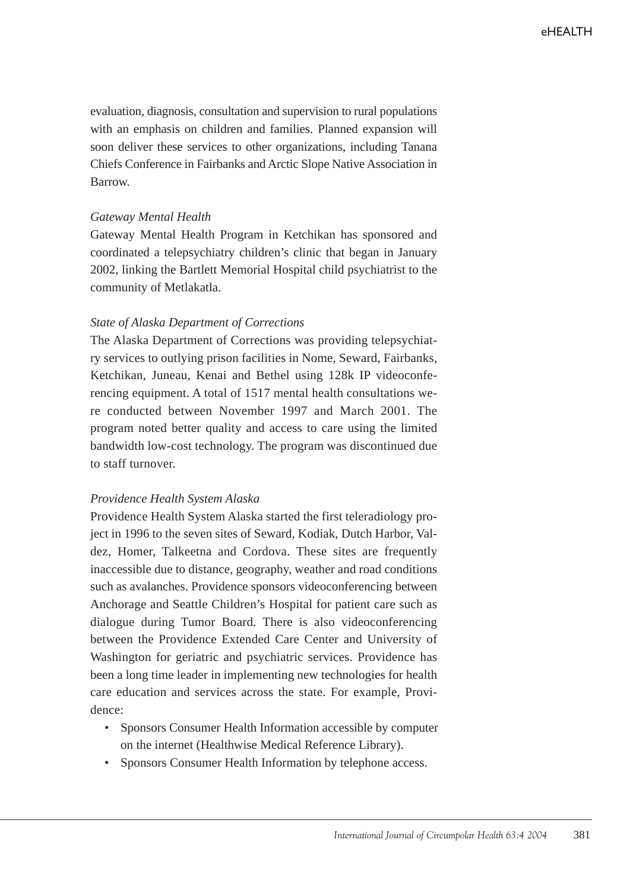evaluation, diagnosis, consultation and supervision to rural populations with an emphasis on children and families. Planned expansion will soon deliver these services to other organizations, including Tanana Chiefs Conference in Fairbanks and Arctic Slope Native Association in Barrow.

### *Gateway Mental Health*

Gateway Mental Health Program in Ketchikan has sponsored and coordinated a telepsychiatry children's clinic that began in January 2002, linking the Bartlett Memorial Hospital child psychiatrist to the community of Metlakatla.

# *State of Alaska Department of Corrections*

The Alaska Department of Corrections was providing telepsychiatry services to outlying prison facilities in Nome, Seward, Fairbanks, Ketchikan, Juneau, Kenai and Bethel using 128k IP videoconferencing equipment. A total of 1517 mental health consultations were conducted between November 1997 and March 2001. The program noted better quality and access to care using the limited bandwidth low-cost technology. The program was discontinued due to staff turnover.

# *Providence Health System Alaska*

Providence Health System Alaska started the first teleradiology project in 1996 to the seven sites of Seward, Kodiak, Dutch Harbor, Valdez, Homer, Talkeetna and Cordova. These sites are frequently inaccessible due to distance, geography, weather and road conditions such as avalanches. Providence sponsors videoconferencing between Anchorage and Seattle Children's Hospital for patient care such as dialogue during Tumor Board. There is also videoconferencing between the Providence Extended Care Center and University of Washington for geriatric and psychiatric services. Providence has been a long time leader in implementing new technologies for health care education and services across the state. For example, Providence:

- Sponsors Consumer Health Information accessible by computer on the internet (Healthwise Medical Reference Library).
- Sponsors Consumer Health Information by telephone access.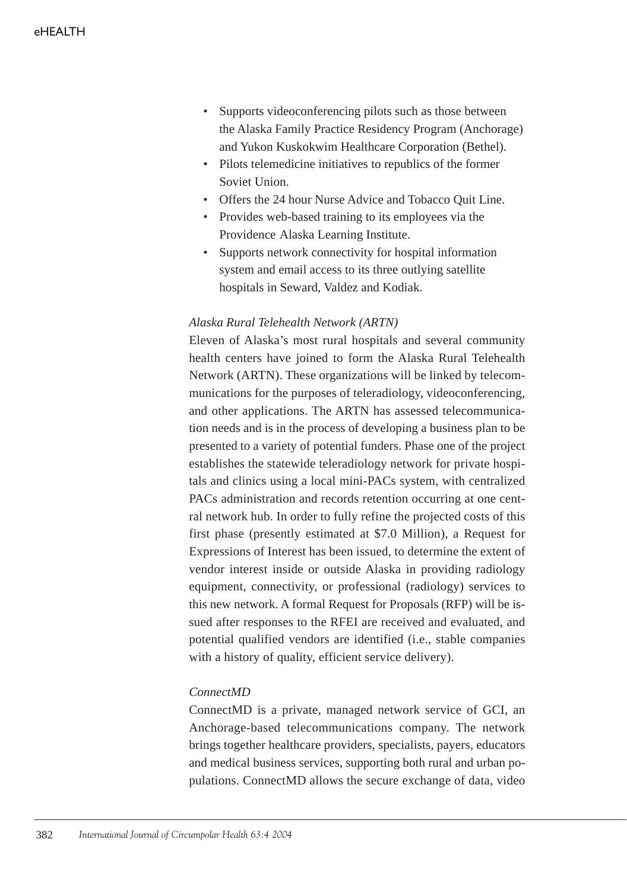- Supports videoconferencing pilots such as those between the Alaska Family Practice Residency Program (Anchorage) and Yukon Kuskokwim Healthcare Corporation (Bethel).
- Pilots telemedicine initiatives to republics of the former Soviet Union.
- Offers the 24 hour Nurse Advice and Tobacco Quit Line.
- Provides web-based training to its employees via the Providence Alaska Learning Institute.
- Supports network connectivity for hospital information system and email access to its three outlying satellite hospitals in Seward, Valdez and Kodiak.

# *Alaska Rural Telehealth Network (ARTN)*

Eleven of Alaska's most rural hospitals and several community health centers have joined to form the Alaska Rural Telehealth Network (ARTN). These organizations will be linked by telecommunications for the purposes of teleradiology, videoconferencing, and other applications. The ARTN has assessed telecommunication needs and is in the process of developing a business plan to be presented to a variety of potential funders. Phase one of the project establishes the statewide teleradiology network for private hospitals and clinics using a local mini-PACs system, with centralized PACs administration and records retention occurring at one central network hub. In order to fully refine the projected costs of this first phase (presently estimated at \$7.0 Million), a Request for Expressions of Interest has been issued, to determine the extent of vendor interest inside or outside Alaska in providing radiology equipment, connectivity, or professional (radiology) services to this new network. A formal Request for Proposals (RFP) will be issued after responses to the RFEI are received and evaluated, and potential qualified vendors are identified (i.e., stable companies with a history of quality, efficient service delivery).

# *ConnectMD*

ConnectMD is a private, managed network service of GCI, an Anchorage-based telecommunications company. The network brings together healthcare providers, specialists, payers, educators and medical business services, supporting both rural and urban populations. ConnectMD allows the secure exchange of data, video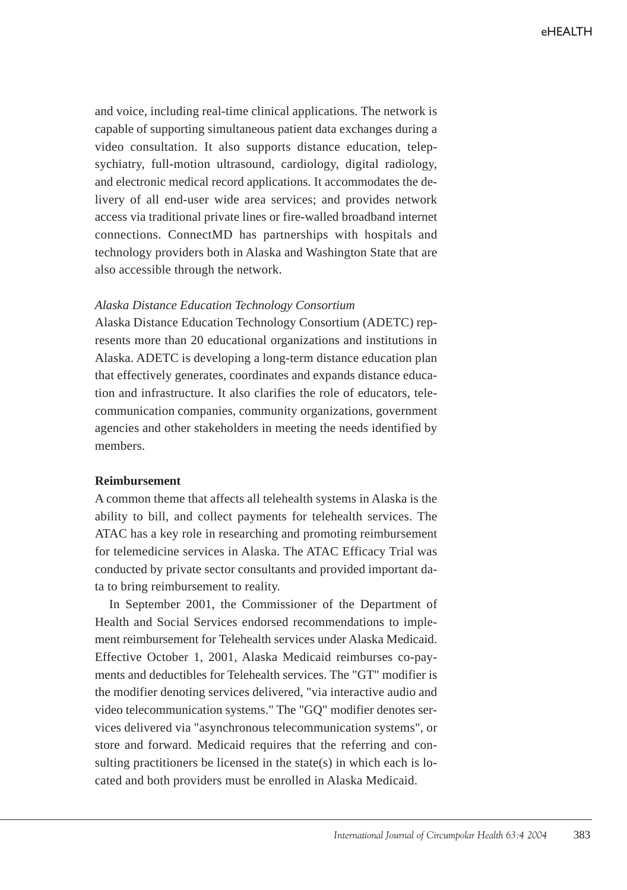and voice, including real-time clinical applications. The network is capable of supporting simultaneous patient data exchanges during a video consultation. It also supports distance education, telepsychiatry, full-motion ultrasound, cardiology, digital radiology, and electronic medical record applications. It accommodates the delivery of all end-user wide area services; and provides network access via traditional private lines or fire-walled broadband internet connections. ConnectMD has partnerships with hospitals and technology providers both in Alaska and Washington State that are also accessible through the network.

### *Alaska Distance Education Technology Consortium*

Alaska Distance Education Technology Consortium (ADETC) represents more than 20 educational organizations and institutions in Alaska. ADETC is developing a long-term distance education plan that effectively generates, coordinates and expands distance education and infrastructure. It also clarifies the role of educators, telecommunication companies, community organizations, government agencies and other stakeholders in meeting the needs identified by members.

### **Reimbursement**

A common theme that affects all telehealth systems in Alaska is the ability to bill, and collect payments for telehealth services. The ATAC has a key role in researching and promoting reimbursement for telemedicine services in Alaska. The ATAC Efficacy Trial was conducted by private sector consultants and provided important data to bring reimbursement to reality.

In September 2001, the Commissioner of the Department of Health and Social Services endorsed recommendations to implement reimbursement for Telehealth services under Alaska Medicaid. Effective October 1, 2001, Alaska Medicaid reimburses co-payments and deductibles for Telehealth services. The "GT" modifier is the modifier denoting services delivered, "via interactive audio and video telecommunication systems." The "GQ" modifier denotes services delivered via "asynchronous telecommunication systems", or store and forward. Medicaid requires that the referring and consulting practitioners be licensed in the state(s) in which each is located and both providers must be enrolled in Alaska Medicaid.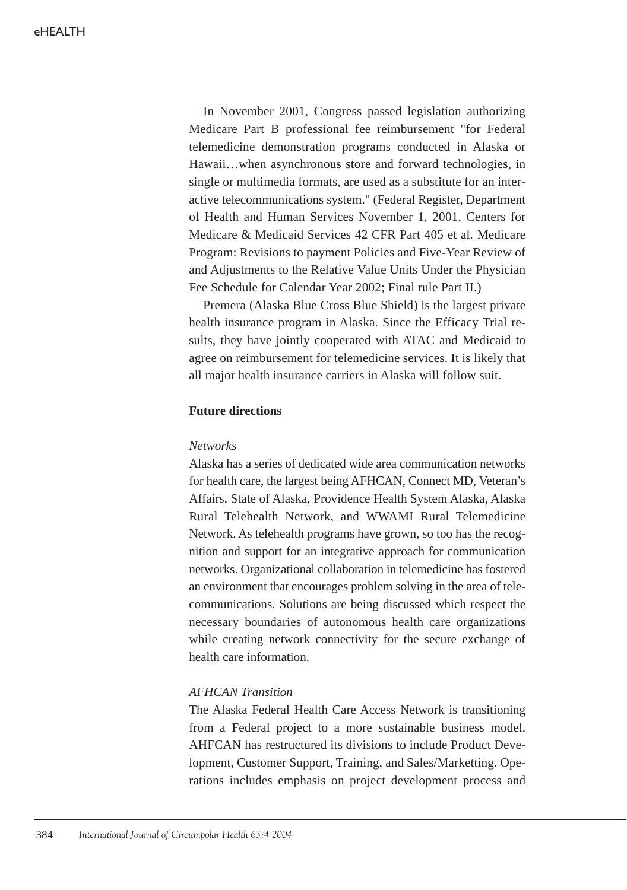In November 2001, Congress passed legislation authorizing Medicare Part B professional fee reimbursement "for Federal telemedicine demonstration programs conducted in Alaska or Hawaii…when asynchronous store and forward technologies, in single or multimedia formats, are used as a substitute for an interactive telecommunications system." (Federal Register, Department of Health and Human Services November 1, 2001, Centers for Medicare & Medicaid Services 42 CFR Part 405 et al. Medicare Program: Revisions to payment Policies and Five-Year Review of and Adjustments to the Relative Value Units Under the Physician Fee Schedule for Calendar Year 2002; Final rule Part II.)

Premera (Alaska Blue Cross Blue Shield) is the largest private health insurance program in Alaska. Since the Efficacy Trial results, they have jointly cooperated with ATAC and Medicaid to agree on reimbursement for telemedicine services. It is likely that all major health insurance carriers in Alaska will follow suit.

# **Future directions**

#### *Networks*

Alaska has a series of dedicated wide area communication networks for health care, the largest being AFHCAN, Connect MD, Veteran's Affairs, State of Alaska, Providence Health System Alaska, Alaska Rural Telehealth Network, and WWAMI Rural Telemedicine Network. As telehealth programs have grown, so too has the recognition and support for an integrative approach for communication networks. Organizational collaboration in telemedicine has fostered an environment that encourages problem solving in the area of telecommunications. Solutions are being discussed which respect the necessary boundaries of autonomous health care organizations while creating network connectivity for the secure exchange of health care information.

# *AFHCAN Transition*

The Alaska Federal Health Care Access Network is transitioning from a Federal project to a more sustainable business model. AHFCAN has restructured its divisions to include Product Development, Customer Support, Training, and Sales/Marketting. Operations includes emphasis on project development process and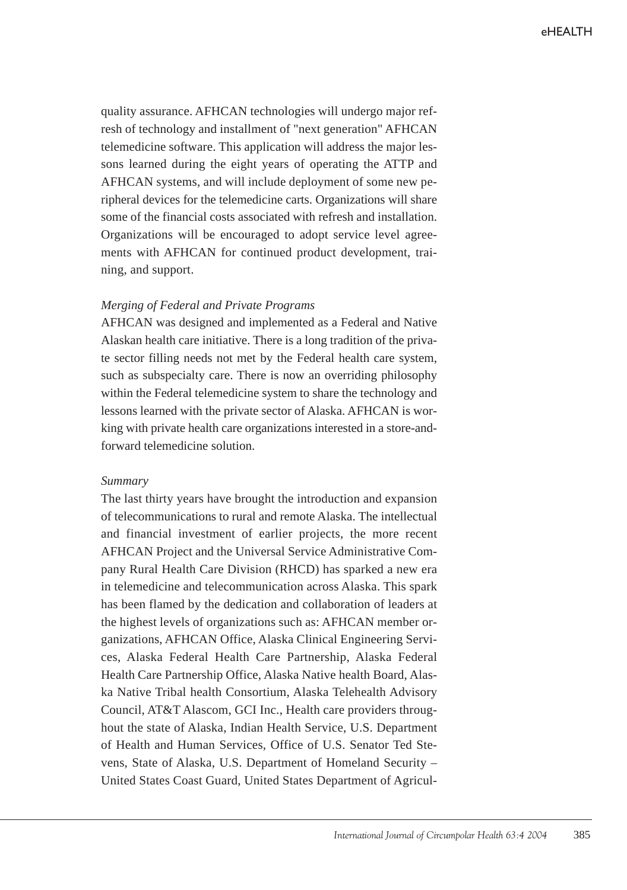quality assurance. AFHCAN technologies will undergo major refresh of technology and installment of "next generation" AFHCAN telemedicine software. This application will address the major lessons learned during the eight years of operating the ATTP and AFHCAN systems, and will include deployment of some new peripheral devices for the telemedicine carts. Organizations will share some of the financial costs associated with refresh and installation. Organizations will be encouraged to adopt service level agreements with AFHCAN for continued product development, training, and support.

### *Merging of Federal and Private Programs*

AFHCAN was designed and implemented as a Federal and Native Alaskan health care initiative. There is a long tradition of the private sector filling needs not met by the Federal health care system, such as subspecialty care. There is now an overriding philosophy within the Federal telemedicine system to share the technology and lessons learned with the private sector of Alaska. AFHCAN is working with private health care organizations interested in a store-andforward telemedicine solution.

### *Summary*

The last thirty years have brought the introduction and expansion of telecommunications to rural and remote Alaska. The intellectual and financial investment of earlier projects, the more recent AFHCAN Project and the Universal Service Administrative Company Rural Health Care Division (RHCD) has sparked a new era in telemedicine and telecommunication across Alaska. This spark has been flamed by the dedication and collaboration of leaders at the highest levels of organizations such as: AFHCAN member organizations, AFHCAN Office, Alaska Clinical Engineering Services, Alaska Federal Health Care Partnership, Alaska Federal Health Care Partnership Office, Alaska Native health Board, Alaska Native Tribal health Consortium, Alaska Telehealth Advisory Council, AT&T Alascom, GCI Inc., Health care providers throughout the state of Alaska, Indian Health Service, U.S. Department of Health and Human Services, Office of U.S. Senator Ted Stevens, State of Alaska, U.S. Department of Homeland Security – United States Coast Guard, United States Department of Agricul